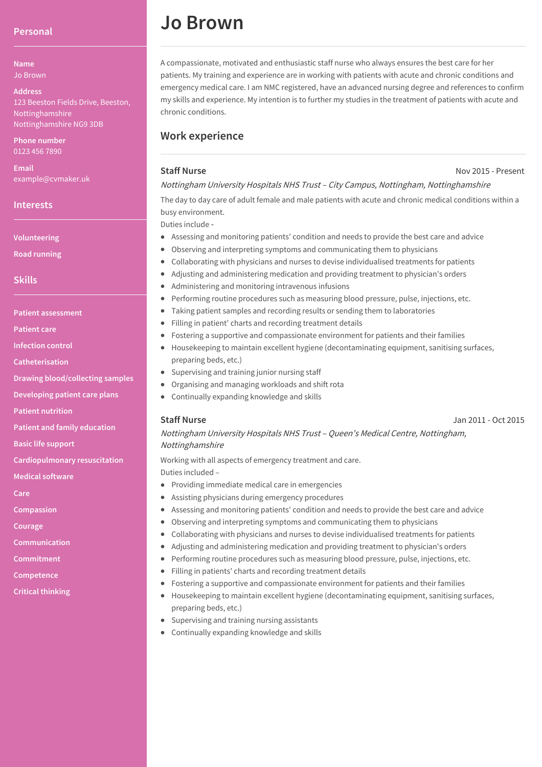## **Personal**

**Name** Jo Brown

#### **Address**

123 Beeston Fields Drive, Beeston, Nottinghamshire Nottinghamshire NG9 3DB

**Phone number** 0123 456 7890

**Email** example@cvmaker.uk

### **Interests**

**Volunteering**

**Road running**

# **Skills**

**Patient assessment**

**Patient care**

**Infection control**

**Catheterisation**

**Drawing blood/collecting samples**

**Developing patient care plans**

**Patient nutrition**

**Patient and family education**

**Basic life support**

**Cardiopulmonary resuscitation**

**Medical software**

**Care**

**Compassion**

**Courage**

**Communication**

**Commitment**

**Competence**

**Critical thinking**

# **Jo Brown**

A compassionate, motivated and enthusiastic staff nurse who always ensures the best care for her patients. My training and experience are in working with patients with acute and chronic conditions and emergency medical care. I am NMC registered, have an advanced nursing degree and references to confirm my skills and experience. My intention is to further my studies in the treatment of patients with acute and chronic conditions.

# **Work experience**

# **Staff Nurse**

#### Nov 2015 - Present

# Nottingham University Hospitals NHS Trust – City Campus, Nottingham, Nottinghamshire

The day to day care of adult female and male patients with acute and chronic medical conditions within a busy environment.

Duties include ‑

- Assessing and monitoring patients' condition and needs to provide the best care and advice
- Observing and interpreting symptoms and communicating them to physicians
- Collaborating with physicians and nurses to devise individualised treatments for patients  $\bullet$
- Adjusting and administering medication and providing treatment to physician's orders
- Administering and monitoring intravenous infusions
- Performing routine procedures such as measuring blood pressure, pulse, injections, etc.
- Taking patient samples and recording results or sending them to laboratories  $\bullet$
- Filling in patient' charts and recording treatment details  $\bullet$
- Fostering a supportive and compassionate environment for patients and their families
- Housekeeping to maintain excellent hygiene (decontaminating equipment, sanitising surfaces, preparing beds, etc.)
- Supervising and training junior nursing staff
- Organising and managing workloads and shift rota
- Continually expanding knowledge and skills

# **Staff Nurse**

Jan 2011 - Oct 2015

# Nottingham University Hospitals NHS Trust – Queen's Medical Centre, Nottingham, Nottinghamshire

Working with all aspects of emergency treatment and care. Duties included –

- Providing immediate medical care in emergencies
- Assisting physicians during emergency procedures
- Assessing and monitoring patients' condition and needs to provide the best care and advice
- Observing and interpreting symptoms and communicating them to physicians
- Collaborating with physicians and nurses to devise individualised treatments for patients
- Adjusting and administering medication and providing treatment to physician's orders
- Performing routine procedures such as measuring blood pressure, pulse, injections, etc.
- Filling in patients' charts and recording treatment details
- Fostering a supportive and compassionate environment for patients and their families
- $\bullet$  Housekeeping to maintain excellent hygiene (decontaminating equipment, sanitising surfaces, preparing beds, etc.)
- Supervising and training nursing assistants
- Continually expanding knowledge and skills